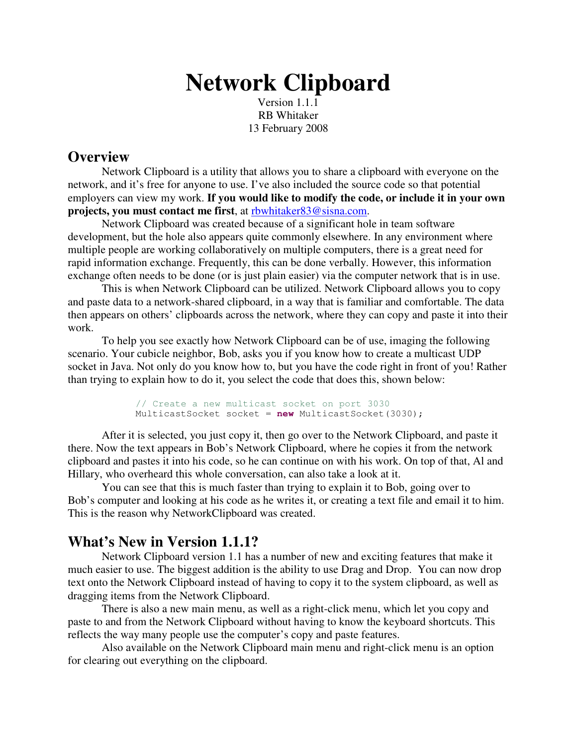# **Network Clipboard**

Version 1.1.1 RB Whitaker 13 February 2008

## **Overview**

Network Clipboard is a utility that allows you to share a clipboard with everyone on the network, and it's free for anyone to use. I've also included the source code so that potential employers can view my work. **If you would like to modify the code, or include it in your own projects, you must contact me first**, at rbwhitaker83@sisna.com.

Network Clipboard was created because of a significant hole in team software development, but the hole also appears quite commonly elsewhere. In any environment where multiple people are working collaboratively on multiple computers, there is a great need for rapid information exchange. Frequently, this can be done verbally. However, this information exchange often needs to be done (or is just plain easier) via the computer network that is in use.

This is when Network Clipboard can be utilized. Network Clipboard allows you to copy and paste data to a network-shared clipboard, in a way that is familiar and comfortable. The data then appears on others' clipboards across the network, where they can copy and paste it into their work.

To help you see exactly how Network Clipboard can be of use, imaging the following scenario. Your cubicle neighbor, Bob, asks you if you know how to create a multicast UDP socket in Java. Not only do you know how to, but you have the code right in front of you! Rather than trying to explain how to do it, you select the code that does this, shown below:

```
// Create a new multicast socket on port 3030
MulticastSocket socket = new MulticastSocket(3030);
```
After it is selected, you just copy it, then go over to the Network Clipboard, and paste it there. Now the text appears in Bob's Network Clipboard, where he copies it from the network clipboard and pastes it into his code, so he can continue on with his work. On top of that, Al and Hillary, who overheard this whole conversation, can also take a look at it.

You can see that this is much faster than trying to explain it to Bob, going over to Bob's computer and looking at his code as he writes it, or creating a text file and email it to him. This is the reason why NetworkClipboard was created.

## **What's New in Version 1.1.1?**

Network Clipboard version 1.1 has a number of new and exciting features that make it much easier to use. The biggest addition is the ability to use Drag and Drop. You can now drop text onto the Network Clipboard instead of having to copy it to the system clipboard, as well as dragging items from the Network Clipboard.

There is also a new main menu, as well as a right-click menu, which let you copy and paste to and from the Network Clipboard without having to know the keyboard shortcuts. This reflects the way many people use the computer's copy and paste features.

Also available on the Network Clipboard main menu and right-click menu is an option for clearing out everything on the clipboard.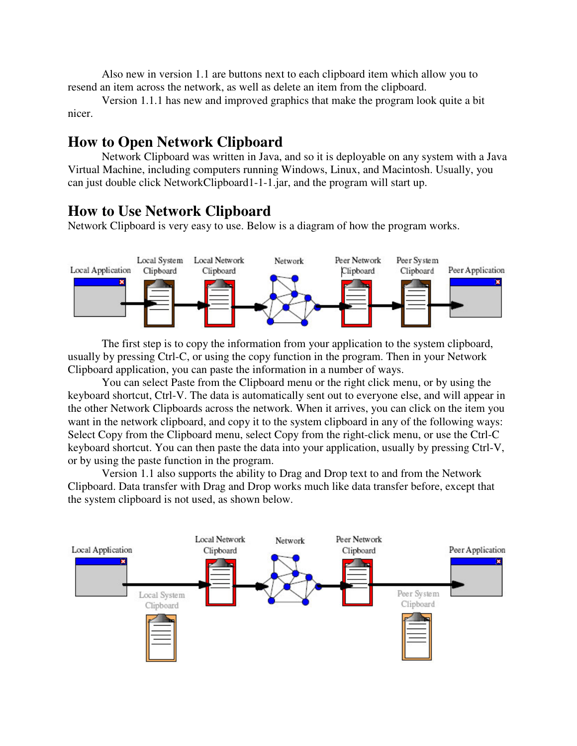Also new in version 1.1 are buttons next to each clipboard item which allow you to resend an item across the network, as well as delete an item from the clipboard.

Version 1.1.1 has new and improved graphics that make the program look quite a bit nicer.

## **How to Open Network Clipboard**

Network Clipboard was written in Java, and so it is deployable on any system with a Java Virtual Machine, including computers running Windows, Linux, and Macintosh. Usually, you can just double click NetworkClipboard1-1-1.jar, and the program will start up.

## **How to Use Network Clipboard**

Network Clipboard is very easy to use. Below is a diagram of how the program works.



The first step is to copy the information from your application to the system clipboard, usually by pressing Ctrl-C, or using the copy function in the program. Then in your Network Clipboard application, you can paste the information in a number of ways.

You can select Paste from the Clipboard menu or the right click menu, or by using the keyboard shortcut, Ctrl-V. The data is automatically sent out to everyone else, and will appear in the other Network Clipboards across the network. When it arrives, you can click on the item you want in the network clipboard, and copy it to the system clipboard in any of the following ways: Select Copy from the Clipboard menu, select Copy from the right-click menu, or use the Ctrl-C keyboard shortcut. You can then paste the data into your application, usually by pressing Ctrl-V, or by using the paste function in the program.

Version 1.1 also supports the ability to Drag and Drop text to and from the Network Clipboard. Data transfer with Drag and Drop works much like data transfer before, except that the system clipboard is not used, as shown below.

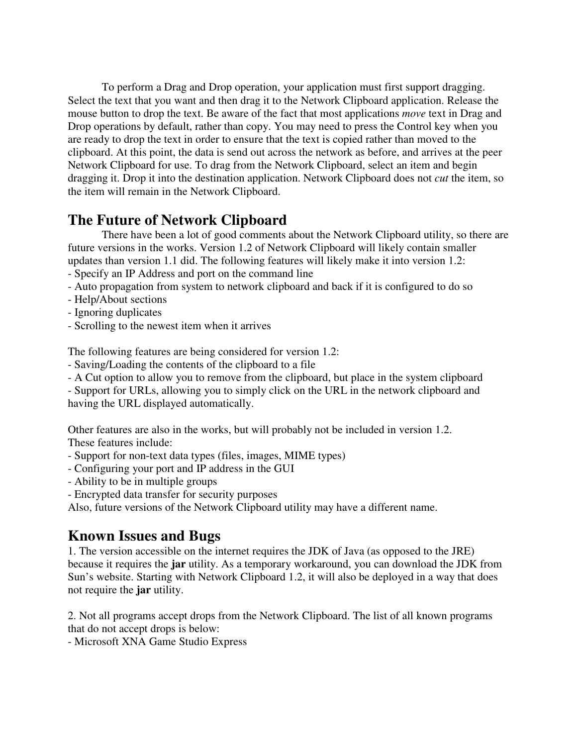To perform a Drag and Drop operation, your application must first support dragging. Select the text that you want and then drag it to the Network Clipboard application. Release the mouse button to drop the text. Be aware of the fact that most applications *move* text in Drag and Drop operations by default, rather than copy. You may need to press the Control key when you are ready to drop the text in order to ensure that the text is copied rather than moved to the clipboard. At this point, the data is send out across the network as before, and arrives at the peer Network Clipboard for use. To drag from the Network Clipboard, select an item and begin dragging it. Drop it into the destination application. Network Clipboard does not *cut* the item, so the item will remain in the Network Clipboard.

# **The Future of Network Clipboard**

There have been a lot of good comments about the Network Clipboard utility, so there are future versions in the works. Version 1.2 of Network Clipboard will likely contain smaller updates than version 1.1 did. The following features will likely make it into version 1.2:

- Specify an IP Address and port on the command line
- Auto propagation from system to network clipboard and back if it is configured to do so
- Help/About sections
- Ignoring duplicates
- Scrolling to the newest item when it arrives

The following features are being considered for version 1.2:

- Saving/Loading the contents of the clipboard to a file
- A Cut option to allow you to remove from the clipboard, but place in the system clipboard

- Support for URLs, allowing you to simply click on the URL in the network clipboard and having the URL displayed automatically.

Other features are also in the works, but will probably not be included in version 1.2. These features include:

- Support for non-text data types (files, images, MIME types)
- Configuring your port and IP address in the GUI
- Ability to be in multiple groups
- Encrypted data transfer for security purposes

Also, future versions of the Network Clipboard utility may have a different name.

# **Known Issues and Bugs**

1. The version accessible on the internet requires the JDK of Java (as opposed to the JRE) because it requires the **jar** utility. As a temporary workaround, you can download the JDK from Sun's website. Starting with Network Clipboard 1.2, it will also be deployed in a way that does not require the **jar** utility.

2. Not all programs accept drops from the Network Clipboard. The list of all known programs that do not accept drops is below:

- Microsoft XNA Game Studio Express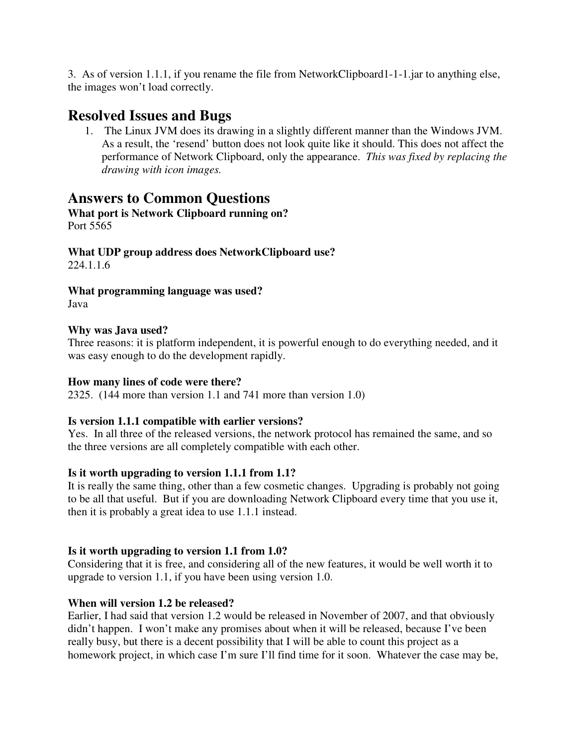3. As of version 1.1.1, if you rename the file from NetworkClipboard1-1-1.jar to anything else, the images won't load correctly.

## **Resolved Issues and Bugs**

1. The Linux JVM does its drawing in a slightly different manner than the Windows JVM. As a result, the 'resend' button does not look quite like it should. This does not affect the performance of Network Clipboard, only the appearance. *This was fixed by replacing the drawing with icon images.*

## **Answers to Common Questions**

#### **What port is Network Clipboard running on?** Port 5565

**What UDP group address does NetworkClipboard use?** 224.1.1.6

**What programming language was used?**

Java

### **Why was Java used?**

Three reasons: it is platform independent, it is powerful enough to do everything needed, and it was easy enough to do the development rapidly.

### **How many lines of code were there?**

2325. (144 more than version 1.1 and 741 more than version 1.0)

### **Is version 1.1.1 compatible with earlier versions?**

Yes. In all three of the released versions, the network protocol has remained the same, and so the three versions are all completely compatible with each other.

### **Is it worth upgrading to version 1.1.1 from 1.1?**

It is really the same thing, other than a few cosmetic changes. Upgrading is probably not going to be all that useful. But if you are downloading Network Clipboard every time that you use it, then it is probably a great idea to use 1.1.1 instead.

### **Is it worth upgrading to version 1.1 from 1.0?**

Considering that it is free, and considering all of the new features, it would be well worth it to upgrade to version 1.1, if you have been using version 1.0.

### **When will version 1.2 be released?**

Earlier, I had said that version 1.2 would be released in November of 2007, and that obviously didn't happen. I won't make any promises about when it will be released, because I've been really busy, but there is a decent possibility that I will be able to count this project as a homework project, in which case I'm sure I'll find time for it soon. Whatever the case may be,